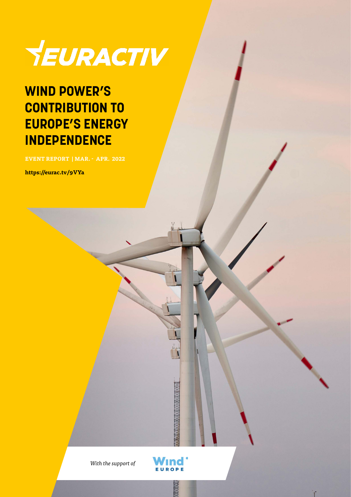

### **WIND POWER'S CONTRIBUTION TO EUROPE'S ENERGY INDEPENDENCE**

**EVENT REPORT | MAR. - APR. 2022**

**https://eurac.tv/9VYa**

*With the support of*

Wind<sup>.</sup> EUROPE

**RANGE** 

T.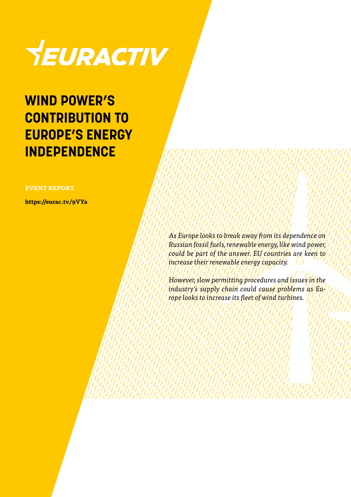

### **WIND POWER'S CONTRIBUTION TO EUROPE'S ENERGY INDEPENDENCE**

**EVENT REPORT** 

**https://eurac.tv/9VYa**

*As Europe looks to break away from its dependence on Russian fossil fuels, renewable energy, like wind power, could be part of the answer. EU countries are keen to increase their renewable energy capacity.*

*However, slow permitting procedures and issues in the industry's supply chain could cause problems as Europe looks to increase its fleet of wind turbines.*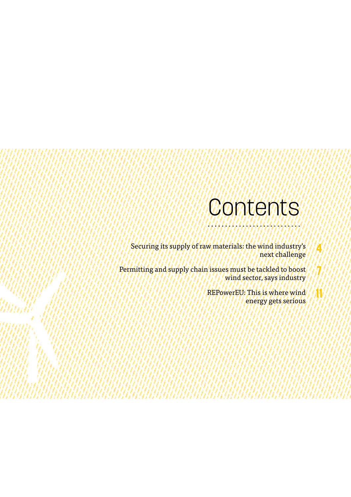### **Contents**

Securing its supply of raw materials: the wind industry's next challenge

Permitting and supply chain issues must be tackled to boost wind sector, says industry

> REPowerEU: This is where wind energy gets serious

**4**

**7**

**11**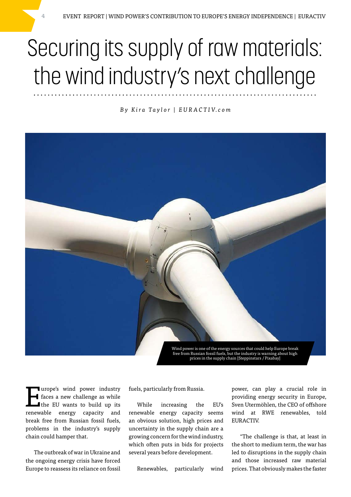## Securing its supply of raw materials: the wind industry's next challenge

### *B y K i r a Ta y l o r | E U R A C T I V. c o m*



free from Russian fossil fuels, but the industry is warning about high prices in the supply chain [Steppinstars / Pixabay]

Turope's wind power industry<br>
faces a new challenge as while<br>
the EU wants to build up its<br>
normally any manusipal and faces a new challenge as while I the EU wants to build up its renewable energy capacity and break free from Russian fossil fuels, problems in the industry's supply chain could hamper that.

The outbreak of war in Ukraine and the ongoing energy crisis have forced Europe to reassess its reliance on fossil

fuels, particularly from Russia.

While increasing the EU's renewable energy capacity seems an obvious solution, high prices and uncertainty in the supply chain are a growing concern for the wind industry, which often puts in bids for projects several years before development.

Renewables, particularly wind

power, can play a crucial role in providing energy security in Europe, Sven Utermöhlen, the CEO of offshore wind at RWE renewables, told EURACTIV.

"The challenge is that, at least in the short to medium term, the war has led to disruptions in the supply chain and those increased raw material prices. That obviously makes the faster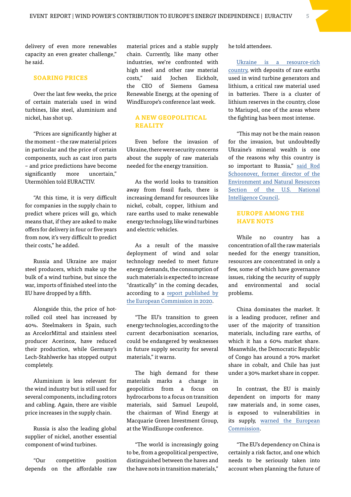delivery of even more renewables capacity an even greater challenge," he said.

#### **SOARING PRICES**

Over the last few weeks, the price of certain materials used in wind turbines, like steel, aluminium and nickel, has shot up.

"Prices are significantly higher at the moment – the raw material prices in particular and the price of certain components, such as cast iron parts – and price predictions have become significantly more uncertain," Utermöhlen told EURACTIV.

"At this time, it is very difficult for companies in the supply chain to predict where prices will go, which means that, if they are asked to make offers for delivery in four or five years from now, it's very difficult to predict their costs," he added.

Russia and Ukraine are major steel producers, which make up the bulk of a wind turbine, but since the war, imports of finished steel into the EU have dropped by a fifth.

Alongside this, the price of hotrolled coil steel has increased by 40%. Steelmakers in Spain, such as ArcelorMittal and stainless steel producer Acerinox, have reduced their production, while Germany's Lech-Stahlwerke has stopped output completely.

Aluminium is less relevant for the wind industry but is still used for several components, including rotors and cabling. Again, there are visible price increases in the supply chain.

Russia is also the leading global supplier of nickel, another essential component of wind turbines.

"Our competitive position depends on the affordable raw material prices and a stable supply chain. Currently, like many other industries, we're confronted with high steel and other raw material costs," said Jochen Eickholt, the CEO of Siemens Gamesa Renewable Energy, at the opening of WindEurope's conference last week.

### **A NEW GEOPOLITICAL REALITY**

Even before the invasion of Ukraine, there were security concerns about the supply of raw materials needed for the energy transition.

As the world looks to transition away from fossil fuels, there is increasing demand for resources like nickel, cobalt, copper, lithium and rare earths used to make renewable energy technology, like wind turbines and electric vehicles.

As a result of the massive deployment of wind and solar technology needed to meet future energy demands, the consumption of such materials is expected to increase "drastically" in the coming decades, according to a [report published by](https://eitrawmaterials.eu/wp-content/uploads/2020/04/rms_for_wind_and_solar_published_v2.pdf) [the European Commission in 2020.](https://eitrawmaterials.eu/wp-content/uploads/2020/04/rms_for_wind_and_solar_published_v2.pdf)

"The EU's transition to green energy technologies, according to the current decarbonisation scenarios, could be endangered by weaknesses in future supply security for several materials," it warns.

The high demand for these materials marks a change in geopolitics from a focus on hydrocarbons to a focus on transition materials, said Samuel Leupold, the chairman of Wind Energy at Macquarie Green Investment Group, at the WindEurope conference.

"The world is increasingly going to be, from a geopolitical perspective, distinguished between the haves and the have nots in transition materials,"

he told attendees.

[Ukraine is a resource-rich](https://eng.minerals-ua.info/wp-content/uploads/sites/2/2017/06/metallogenic.jpg)  [country](https://eng.minerals-ua.info/wp-content/uploads/sites/2/2017/06/metallogenic.jpg), with deposits of rare earths used in wind turbine generators and lithium, a critical raw material used in batteries. There is a cluster of lithium reserves in the country, close to Mariupol, one of the areas where the fighting has been most intense.

"This may not be the main reason for the invasion, but undoubtedly Ukraine's mineral wealth is one of the reasons why this country is so important to Russia," [said Rod](https://www.renewablematter.eu/articles/article/ukraine-all-lithium-reserves-and-mineral-resources-in-war-zones)  [Schoonover, former director of the](https://www.renewablematter.eu/articles/article/ukraine-all-lithium-reserves-and-mineral-resources-in-war-zones)  [Environment and Natural Resources](https://www.renewablematter.eu/articles/article/ukraine-all-lithium-reserves-and-mineral-resources-in-war-zones)  [Section of the U.S. National](https://www.renewablematter.eu/articles/article/ukraine-all-lithium-reserves-and-mineral-resources-in-war-zones)  [Intelligence Council.](https://www.renewablematter.eu/articles/article/ukraine-all-lithium-reserves-and-mineral-resources-in-war-zones)

### **EUROPE AMONG THE HAVE NOTS**

While no country has a concentration of all the raw materials needed for the energy transition, resources are concentrated in only a few, some of which have governance issues, risking the security of supply and environmental and social problems.

China dominates the market. It is a leading producer, refiner and user of the majority of transition materials, including rare earths, of which it has a 60% market share. Meanwhile, the Democratic Republic of Congo has around a 70% market share in cobalt, and Chile has just under a 30% market share in copper.

In contrast, the EU is mainly dependent on imports for many raw materials and, in some cases, is exposed to vulnerabilities in its supply, [warned the European](https://eitrawmaterials.eu/wp-content/uploads/2020/04/rms_for_wind_and_solar_published_v2.pdf)  [Commission](https://eitrawmaterials.eu/wp-content/uploads/2020/04/rms_for_wind_and_solar_published_v2.pdf).

"The EU's dependency on China is certainly a risk factor, and one which needs to be seriously taken into account when planning the future of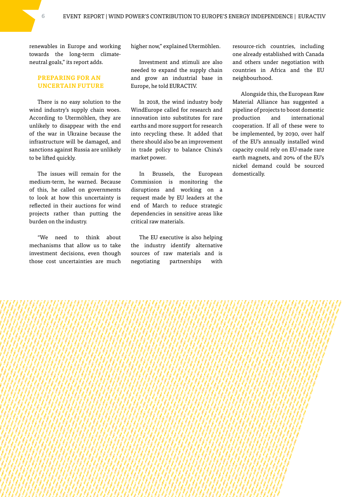renewables in Europe and working towards the long-term climateneutral goals," its report adds.

### **PREPARING FOR AN UNCERTAIN FUTURE**

There is no easy solution to the wind industry's supply chain woes. According to Utermöhlen, they are unlikely to disappear with the end of the war in Ukraine because the infrastructure will be damaged, and sanctions against Russia are unlikely to be lifted quickly.

The issues will remain for the medium-term, he warned. Because of this, he called on governments to look at how this uncertainty is reflected in their auctions for wind projects rather than putting the burden on the industry.

"We need to think about mechanisms that allow us to take investment decisions, even though those cost uncertainties are much

higher now," explained Utermöhlen.

Investment and stimuli are also needed to expand the supply chain and grow an industrial base in Europe, he told EURACTIV.

In 2018, the wind industry body WindEurope called for research and innovation into substitutes for rare earths and more support for research into recycling these. It added that there should also be an improvement in trade policy to balance China's market power.

In Brussels, the European Commission is monitoring the disruptions and working on a request made by EU leaders at the end of March to reduce strategic dependencies in sensitive areas like critical raw materials.

The EU executive is also helping the industry identify alternative sources of raw materials and is negotiating partnerships with resource-rich countries, including one already established with Canada and others under negotiation with countries in Africa and the EU neighbourhood.

Alongside this, the European Raw Material Alliance has suggested a pipeline of projects to boost domestic production and international cooperation. If all of these were to be implemented, by 2030, over half of the EU's annually installed wind capacity could rely on EU-made rare earth magnets, and 20% of the EU's nickel demand could be sourced domestically.

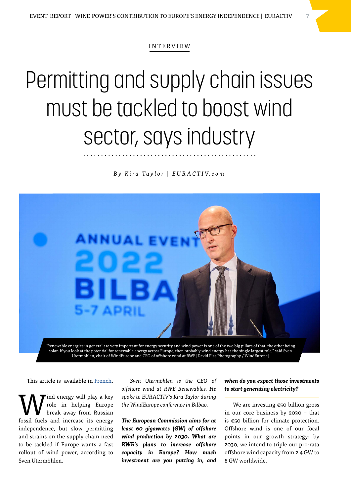#### INTERVIEW

## Permitting and supply chain issues must be tackled to boost wind sector, says industry

*B y K i r a Ta y l o r | E U R A C T I V. c o m*



solar. If you look at the potential for renewable energy across Europe, then probably wind energy has the single largest role," said Sven Utermöhlen, chair of WindEurope and CEO of offshore wind at RWE [David Plas Photography / WindEurope]

This article is available in [French](https://www.euractiv.fr/section/energie/interview/eolien-des-problemes-a-resoudre-pour-stimuler-le-secteur/?_ga=2.209112852.724036938.1649664277-1399841842.1643883858).

W role in helping Europe<br>break away from Russian<br>foosil fizels and increase its consumer role in helping Europe break away from Russian fossil fuels and increase its energy independence, but slow permitting and strains on the supply chain need to be tackled if Europe wants a fast rollout of wind power, according to Sven Utermöhlen.

*Sven Utermöhlen is the CEO of offshore wind at RWE Renewables. He spoke to EURACTIV's Kira Taylor during the WindEurope conference in Bilbao.*

*The European Commission aims for at least 60 gigawatts (GW) of offshore wind production by 2030. What are RWE's plans to increase offshore capacity in Europe? How much investment are you putting in, and* 

### *when do you expect those investments to start generating electricity?*

We are investing €50 billion gross in our core business by 2030 – that is €50 billion for climate protection. Offshore wind is one of our focal points in our growth strategy: by 2030, we intend to triple our pro-rata offshore wind capacity from 2.4 GW to 8 GW worldwide.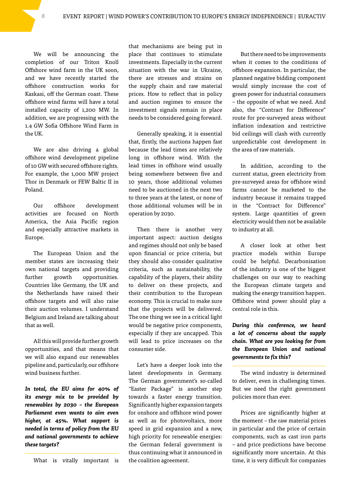We will be announcing the completion of our Triton Knoll Offshore wind farm in the UK soon, and we have recently started the offshore construction works for Kaskasi, off the German coast. These offshore wind farms will have a total installed capacity of 1,200 MW. In addition, we are progressing with the 1.4 GW Sofia Offshore Wind Farm in the UK.

We are also driving a global offshore wind development pipeline of 10 GW with secured offshore rights. For example, the 1,000 MW project Thor in Denmark or FEW Baltic II in Poland.

Our offshore development activities are focused on North America, the Asia Pacific region and especially attractive markets in Europe.

The European Union and the member states are increasing their own national targets and providing further growth opportunities. Countries like Germany, the UK and the Netherlands have raised their offshore targets and will also raise their auction volumes. I understand Belgium and Ireland are talking about that as well.

All this will provide further growth opportunities, and that means that we will also expand our renewables pipeline and, particularly, our offshore wind business further.

*In total, the EU aims for 40% of its energy mix to be provided by renewables by 2030 – the European Parliament even wants to aim even higher, at 45%. What support is needed in terms of policy from the EU and national governments to achieve these targets?*

What is vitally important is

that mechanisms are being put in place that continues to stimulate investments. Especially in the current situation with the war in Ukraine, there are stresses and strains on the supply chain and raw material prices. How to reflect that in policy and auction regimes to ensure the investment signals remain in place needs to be considered going forward.

Generally speaking, it is essential that, firstly, the auctions happen fast because the lead times are relatively long in offshore wind. With the lead times in offshore wind usually being somewhere between five and 10 years, those additional volumes need to be auctioned in the next two to three years at the latest, or none of those additional volumes will be in operation by 2030.

Then there is another very important aspect: auction designs and regimes should not only be based upon financial or price criteria, but they should also consider qualitative criteria, such as sustainability, the capability of the players, their ability to deliver on these projects, and their contribution to the European economy. This is crucial to make sure that the projects will be delivered. The one thing we see in a critical light would be negative price components, especially if they are uncapped. This will lead to price increases on the consumer side.

Let's have a deeper look into the latest developments in Germany. The German government's so-called "Easter Package" is another step towards a faster energy transition. Significantly higher expansion targets for onshore and offshore wind power as well as for photovoltaics, more speed in grid expansion and a new, high priority for renewable energies: the German federal government is thus continuing what it announced in the coalition agreement.

But there need to be improvements when it comes to the conditions of offshore expansion. In particular, the planned negative bidding component would simply increase the cost of green power for industrial consumers – the opposite of what we need. And also, the "Contract for Difference" route for pre-surveyed areas without inflation indexation and restrictive bid ceilings will clash with currently unpredictable cost development in the area of raw materials.

In addition, according to the current status, green electricity from pre-surveyed areas for offshore wind farms cannot be marketed to the industry because it remains trapped in the "Contract for Difference" system. Large quantities of green electricity would then not be available to industry at all.

A closer look at other best practice models within Europe could be helpful. Decarbonisation of the industry is one of the biggest challenges on our way to reaching the European climate targets and making the energy transition happen. Offshore wind power should play a central role in this.

*During this conference, we heard a lot of concerns about the supply chain. What are you looking for from the European Union and national governments to fix this?*

The wind industry is determined to deliver, even in challenging times. But we need the right government policies more than ever.

Prices are significantly higher at the moment – the raw material prices in particular and the price of certain components, such as cast iron parts – and price predictions have become significantly more uncertain. At this time, it is very difficult for companies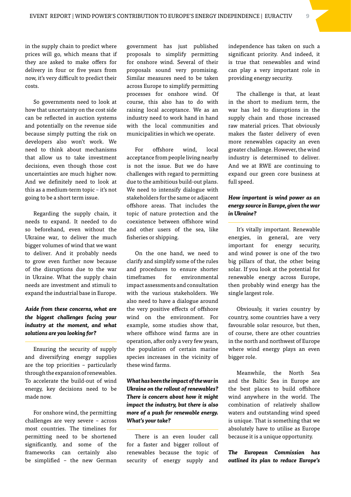in the supply chain to predict where prices will go, which means that if they are asked to make offers for delivery in four or five years from now, it's very difficult to predict their costs.

So governments need to look at how that uncertainty on the cost side can be reflected in auction systems and potentially on the revenue side because simply putting the risk on developers also won't work. We need to think about mechanisms that allow us to take investment decisions, even though those cost uncertainties are much higher now. And we definitely need to look at this as a medium-term topic – it's not going to be a short term issue.

Regarding the supply chain, it needs to expand. It needed to do so beforehand, even without the Ukraine war, to deliver the much bigger volumes of wind that we want to deliver. And it probably needs to grow even further now because of the disruptions due to the war in Ukraine. What the supply chain needs are investment and stimuli to expand the industrial base in Europe.

### *Aside from these concerns, what are the biggest challenges facing your industry at the moment, and what solutions are you looking for?*

Ensuring the security of supply and diversifying energy supplies are the top priorities – particularly through the expansion of renewables. To accelerate the build-out of wind energy, key decisions need to be made now.

For onshore wind, the permitting challenges are very severe – across most countries. The timelines for permitting need to be shortened significantly, and some of the frameworks can certainly also be simplified – the new German

government has just published proposals to simplify permitting for onshore wind. Several of their proposals sound very promising. Similar measures need to be taken across Europe to simplify permitting processes for onshore wind. Of course, this also has to do with raising local acceptance. We as an industry need to work hand in hand with the local communities and municipalities in which we operate.

For offshore wind, local acceptance from people living nearby is not the issue. But we do have challenges with regard to permitting due to the ambitious build-out plans. We need to intensify dialogue with stakeholders for the same or adjacent offshore areas. That includes the topic of nature protection and the coexistence between offshore wind and other users of the sea, like fisheries or shipping.

On the one hand, we need to clarify and simplify some of the rules and procedures to ensure shorter timeframes for environmental impact assessments and consultation with the various stakeholders. We also need to have a dialogue around the very positive effects of offshore wind on the environment. For example, some studies show that, where offshore wind farms are in operation, after only a very few years, the population of certain marine species increases in the vicinity of these wind farms.

### *What has been the impact of the war in Ukraine on the rollout of renewables? There is concern about how it might impact the industry, but there is also more of a push for renewable energy. What's your take?*

There is an even louder call for a faster and bigger rollout of renewables because the topic of security of energy supply and

independence has taken on such a significant priority. And indeed, it is true that renewables and wind can play a very important role in providing energy security.

The challenge is that, at least in the short to medium term, the war has led to disruptions in the supply chain and those increased raw material prices. That obviously makes the faster delivery of even more renewables capacity an even greater challenge. However, the wind industry is determined to deliver. And we at RWE are continuing to expand our green core business at full speed.

### *How important is wind power as an energy source in Europe, given the war in Ukraine?*

It's vitally important. Renewable energies, in general, are very important for energy security, and wind power is one of the two big pillars of that, the other being solar. If you look at the potential for renewable energy across Europe, then probably wind energy has the single largest role.

Obviously, it varies country by country, some countries have a very favourable solar resource, but then, of course, there are other countries in the north and northwest of Europe where wind energy plays an even bigger role.

Meanwhile, the North Sea and the Baltic Sea in Europe are the best places to build offshore wind anywhere in the world. The combination of relatively shallow waters and outstanding wind speed is unique. That is something that we absolutely have to utilise as Europe because it is a unique opportunity.

*The European Commission has outlined its plan to reduce Europe's*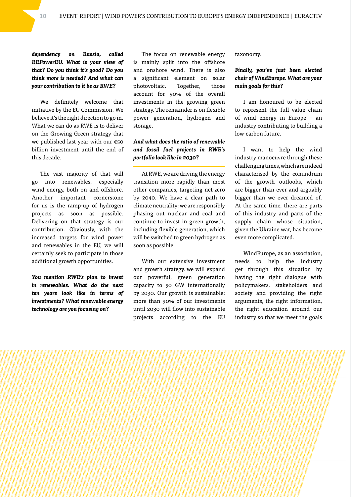*dependency on Russia, called REPowerEU. What is your view of that? Do you think it's good? Do you think more is needed? And what can your contribution to it be as RWE?*

We definitely welcome that initiative by the EU Commission. We believe it's the right direction to go in. What we can do as RWE is to deliver on the Growing Green strategy that we published last year with our  $\epsilon$ 50 billion investment until the end of this decade.

The vast majority of that will go into renewables, especially wind energy, both on and offshore. Another important cornerstone for us is the ramp-up of hydrogen projects as soon as possible. Delivering on that strategy is our contribution. Obviously, with the increased targets for wind power and renewables in the EU, we will certainly seek to participate in those additional growth opportunities.

*You mention RWE's plan to invest in renewables. What do the next ten years look like in terms of investments? What renewable energy technology are you focusing on?*

The focus on renewable energy is mainly split into the offshore and onshore wind. There is also a significant element on solar photovoltaic. Together, those account for 90% of the overall investments in the growing green strategy. The remainder is on flexible power generation, hydrogen and storage.

### *And what does the ratio of renewable and fossil fuel projects in RWE's portfolio look like in 2030?*

At RWE, we are driving the energy transition more rapidly than most other companies, targeting net-zero by 2040. We have a clear path to climate neutrality: we are responsibly phasing out nuclear and coal and continue to invest in green growth, including flexible generation, which will be switched to green hydrogen as soon as possible.

With our extensive investment and growth strategy, we will expand our powerful, green generation capacity to 50 GW internationally by 2030. Our growth is sustainable: more than 90% of our investments until 2030 will flow into sustainable projects according to the EU

taxonomy.

### *Finally, you've just been elected chair of WindEurope. What are your main goals for this?*

I am honoured to be elected to represent the full value chain of wind energy in Europe – an industry contributing to building a low-carbon future.

I want to help the wind industry manoeuvre through these challenging times, which are indeed characterised by the conundrum of the growth outlooks, which are bigger than ever and arguably bigger than we ever dreamed of. At the same time, there are parts of this industry and parts of the supply chain whose situation, given the Ukraine war, has become even more complicated.

WindEurope, as an association, needs to help the industry get through this situation by having the right dialogue with policymakers, stakeholders and society and providing the right arguments, the right information, the right education around our industry so that we meet the goals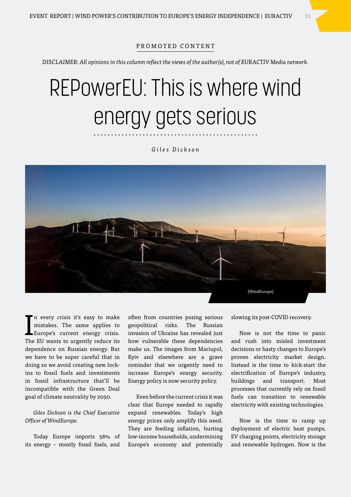#### PROMOTED CONTENT

*DISCLAIMER: All opinions in this column reflect the views of the author(s), not of EURACTIV Media network.*

# REPowerEU: This is where wind energy gets serious

*Giles Dickson*



In every crisis it's easy to make<br>mistakes. The same applies to<br>Europe's current energy crisis.<br>The EU was to was the motion its n every crisis it's easy to make mistakes. The same applies to The EU wants to urgently reduce its dependence on Russian energy. But we have to be super careful that in doing so we avoid creating new lockins to fossil fuels and investments in fossil infrastructure that'll be incompatible with the Green Deal goal of climate neutrality by 2050.

*Giles Dickson is the Chief Executive Officer of WindEurope.*

Today Europe imports 58% of its energy – mostly fossil fuels, and often from countries posing serious geopolitical risks. The Russian invasion of Ukraine has revealed just how vulnerable these dependencies make us. The images from Mariupol, Kyiv and elsewhere are a grave reminder that we urgently need to increase Europe's energy security. Energy policy is now security policy.

Even before the current crisis it was clear that Europe needed to rapidly expand renewables. Today's high energy prices only amplify this need. They are feeding inflation, hurting low-income households, undermining Europe's economy and potentially slowing its post-COVID recovery.

Now is not the time to panic and rush into misled investment decisions or hasty changes to Europe's proven electricity market design. Instead is the time to kick-start the electrification of Europe's industry, buildings and transport. Most processes that currently rely on fossil fuels can transition to renewable electricity with existing technologies.

Now is the time to ramp up deployment of electric heat pumps, EV charging points, electricity storage and renewable hydrogen. Now is the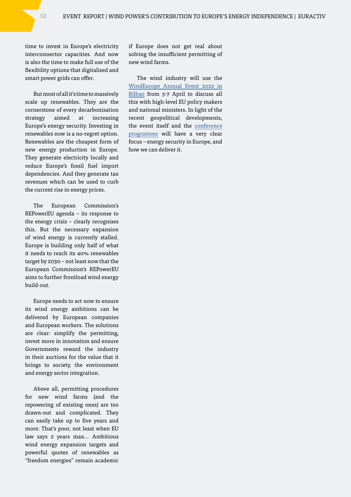time to invest in Europe's electricity interconnector capacities. And now is also the time to make full use of the flexibility options that digitalised and smart power grids can offer.

But most of all it's time to massively scale up renewables. They are the cornerstone of every decarbonisation strategy aimed at increasing Europe's energy security. Investing in renewables now is a no-regret option. Renewables are the cheapest form of new energy production in Europe. They generate electricity locally and reduce Europe's fossil fuel import dependencies. And they generate tax revenues which can be used to curb the current rise in energy prices.

The European Commission's REPowerEU agenda – its response to the energy crisis – clearly recognises this. But the necessary expansion of wind energy is currently stalled. Europe is building only half of what it needs to reach its 40% renewables target by 2030 – not least now that the European Commission's REPowerEU aims to further frontload wind energy build-out.

Europe needs to act now to ensure its wind energy ambitions can be delivered by European companies and European workers. The solutions are clear: simplify the permitting, invest more in innovation and ensure Governments reward the industry in their auctions for the value that it brings to society, the environment and energy sector integration.

Above all, permitting procedures for new wind farms (and the repowering of existing ones) are too drawn-out and complicated. They can easily take up to five years and more. That's poor, not least when EU law says 2 years max… Ambitious wind energy expansion targets and powerful quotes of renewables as "freedom energies" remain academic

if Europe does not get real about solving the insufficient permitting of new wind farms.

The wind industry will use the [WindEurope Annual Event 2022 in](https://windeurope.org/annual2022/exhibition/exhibitor-zone/press-services/)  [Bilbao](https://windeurope.org/annual2022/exhibition/exhibitor-zone/press-services/) from 5-7 April to discuss all this with high-level EU policy makers and national ministers. In light of the recent geopolitical developments, the event itself and the [conference](https://windeurope.org/annual2022/conference/programme/) [programme](https://windeurope.org/annual2022/conference/programme/) will have a very clear focus – energy security in Europe, and how we can deliver it.